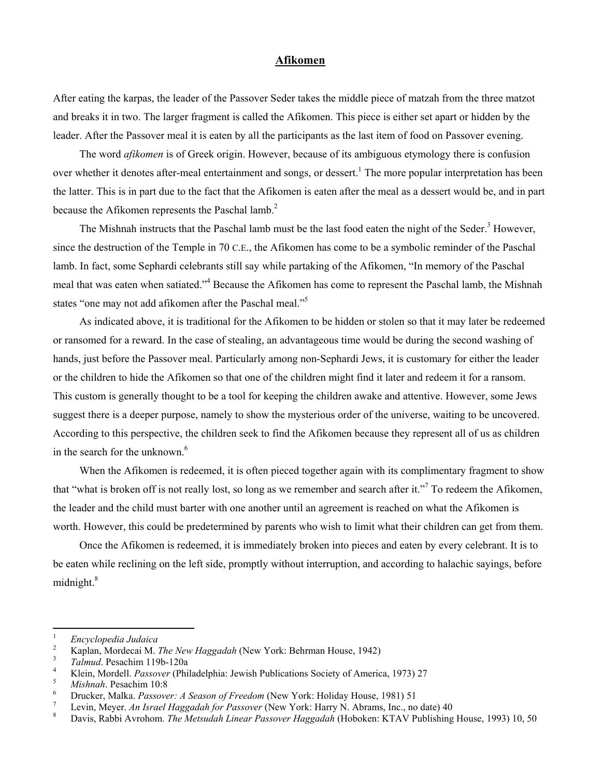## **Afikomen**

After eating the karpas, the leader of the Passover Seder takes the middle piece of matzah from the three matzot and breaks it in two. The larger fragment is called the Afikomen. This piece is either set apart or hidden by the leader. After the Passover meal it is eaten by all the participants as the last item of food on Passover evening.

The word *afikomen* is of Greek origin. However, because of its ambiguous etymology there is confusion over whether it denotes after-meal entertainment and songs, or dessert.<sup>1</sup> The more popular interpretation has been the latter. This is in part due to the fact that the Afikomen is eaten after the meal as a dessert would be, and in part because the Afikomen represents the Paschal lamb.<sup>[2](#page-0-1)</sup>

TheMishnah instructs that the Paschal lamb must be the last food eaten the night of the Seder.<sup>3</sup> However, since the destruction of the Temple in 70 C.E., the Afikomen has come to be a symbolic reminder of the Paschal lamb. In fact, some Sephardi celebrants still say while partaking of the Afikomen, "In memory of the Paschal meal that was eaten when satiated."<sup>[4](#page-0-3)</sup> Because the Afikomen has come to represent the Paschal lamb, the Mishnah states "one may not add afikomen after the Paschal meal."<sup>[5](#page-0-4)</sup>

As indicated above, it is traditional for the Afikomen to be hidden or stolen so that it may later be redeemed or ransomed for a reward. In the case of stealing, an advantageous time would be during the second washing of hands, just before the Passover meal. Particularly among non-Sephardi Jews, it is customary for either the leader or the children to hide the Afikomen so that one of the children might find it later and redeem it for a ransom. This custom is generally thought to be a tool for keeping the children awake and attentive. However, some Jews suggest there is a deeper purpose, namely to show the mysterious order of the universe, waiting to be uncovered. According to this perspective, the children seek to find the Afikomen because they represent all of us as children in the search for the unknown.<sup>[6](#page-0-5)</sup>

When the Afikomen is redeemed, it is often pieced together again with its complimentary fragment to show that "what is broken off is not really lost, so long as we remember and search after it."<sup>[7](#page-0-6)</sup> To redeem the Afikomen, the leader and the child must barter with one another until an agreement is reached on what the Afikomen is worth. However, this could be predetermined by parents who wish to limit what their children can get from them.

Once the Afikomen is redeemed, it is immediately broken into pieces and eaten by every celebrant. It is to be eaten while reclining on the left side, promptly without interruption, and according to halachic sayings, before midnight.<sup>[8](#page-0-7)</sup>

<span id="page-0-0"></span> $\frac{1}{1}$ *Encyclopedia Judaica* <sup>2</sup>

<span id="page-0-1"></span><sup>&</sup>lt;sup>2</sup> Kaplan, Mordecai M. *The New Haggadah* (New York: Behrman House, 1942)

<span id="page-0-2"></span><sup>&</sup>lt;sup>3</sup> *Talmud*. Pesachim 119b-120a<br><sup>4</sup> Klein Mordell *Passover* (Phi

<span id="page-0-3"></span><sup>&</sup>lt;sup>4</sup> Klein, Mordell. *Passover* (Philadelphia: Jewish Publications Society of America, 1973) 27

<span id="page-0-4"></span><sup>&</sup>lt;sup>5</sup> Mishnah. Pesachim 10:8

<span id="page-0-5"></span>Drucker, Malka. *Passover: A Season of Freedom* (New York: Holiday House, 1981) 51 7

<span id="page-0-6"></span>Levin, Meyer. *An Israel Haggadah for Passover* (New York: Harry N. Abrams, Inc., no date) 40<sup>8</sup> Davis, Babbi Arrabam. The Metaudah Linear Bassover Haggadah (Habelson: KTAM Bublishing)

<span id="page-0-7"></span>Davis, Rabbi Avrohom. *The Metsudah Linear Passover Haggadah* (Hoboken: KTAV Publishing House, 1993) 10, 50